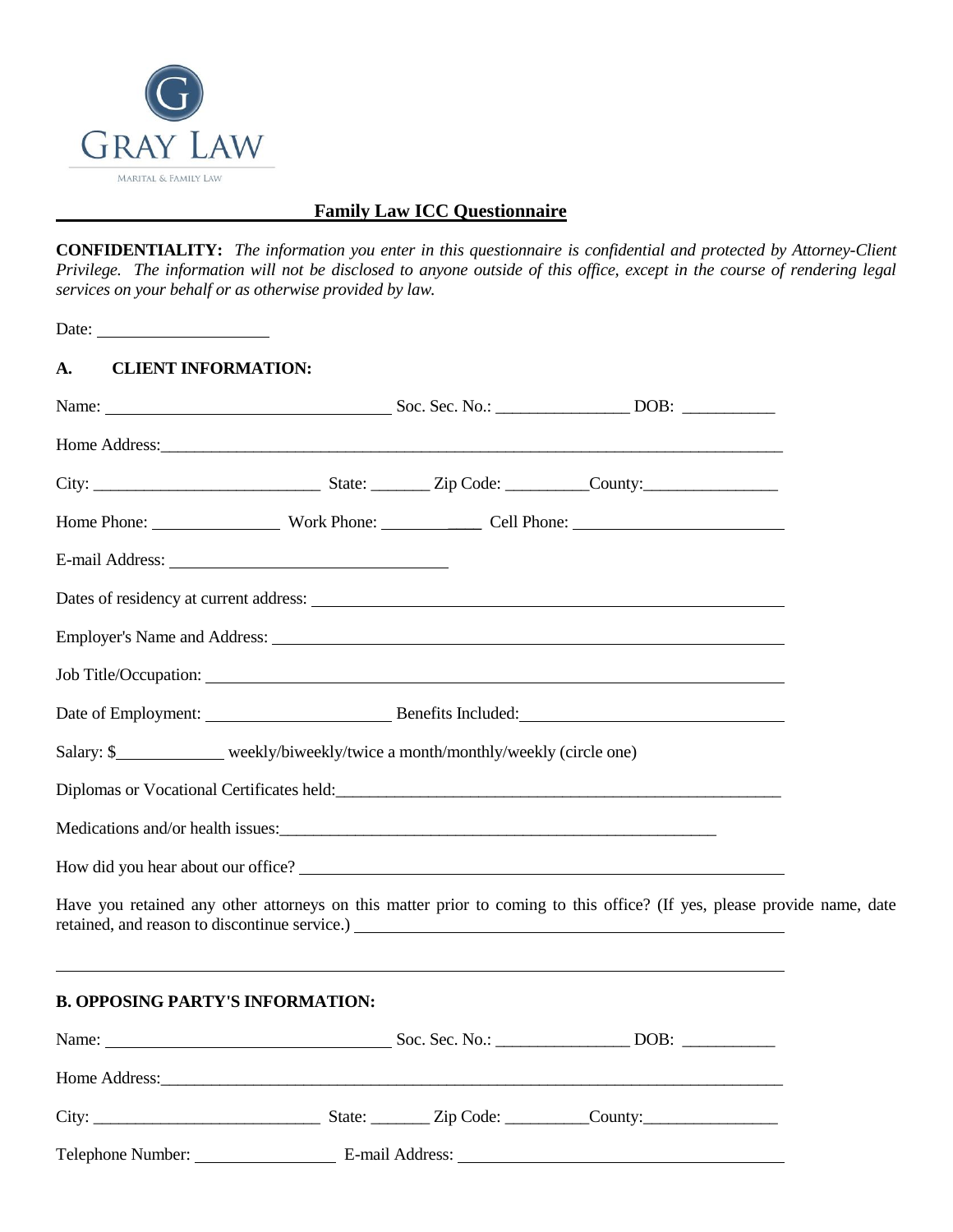

## **Family Law ICC Questionnaire**

**CONFIDENTIALITY:** *The information you enter in this questionnaire is confidential and protected by Attorney-Client Privilege. The information will not be disclosed to anyone outside of this office, except in the course of rendering legal services on your behalf or as otherwise provided by law.*

| Date: $\qquad \qquad$                                                                                                                                                                                                          |  |  |
|--------------------------------------------------------------------------------------------------------------------------------------------------------------------------------------------------------------------------------|--|--|
| <b>CLIENT INFORMATION:</b><br>A.                                                                                                                                                                                               |  |  |
|                                                                                                                                                                                                                                |  |  |
|                                                                                                                                                                                                                                |  |  |
|                                                                                                                                                                                                                                |  |  |
| Home Phone: Work Phone: Cell Phone: Cell Phone:                                                                                                                                                                                |  |  |
|                                                                                                                                                                                                                                |  |  |
| Dates of residency at current address: Notice of the state of the state of the state of the state of the state of the state of the state of the state of the state of the state of the state of the state of the state of the  |  |  |
|                                                                                                                                                                                                                                |  |  |
|                                                                                                                                                                                                                                |  |  |
|                                                                                                                                                                                                                                |  |  |
| Salary: \$ _____________ weekly/biweekly/twice a month/monthly/weekly (circle one)                                                                                                                                             |  |  |
| Diplomas or Vocational Certificates held:<br><u>Diplomas or Vocational Certificates held:</u>                                                                                                                                  |  |  |
|                                                                                                                                                                                                                                |  |  |
|                                                                                                                                                                                                                                |  |  |
| Have you retained any other attorneys on this matter prior to coming to this office? (If yes, please provide name, date                                                                                                        |  |  |
| <b>B. OPPOSING PARTY'S INFORMATION:</b>                                                                                                                                                                                        |  |  |
|                                                                                                                                                                                                                                |  |  |
| Home Address: Note and the Manual Community of the Manual Community of the Manual Community of the Manual Community of the Manual Community of the Manual Community of the Manual Community of the Manual Community of the Man |  |  |
|                                                                                                                                                                                                                                |  |  |
|                                                                                                                                                                                                                                |  |  |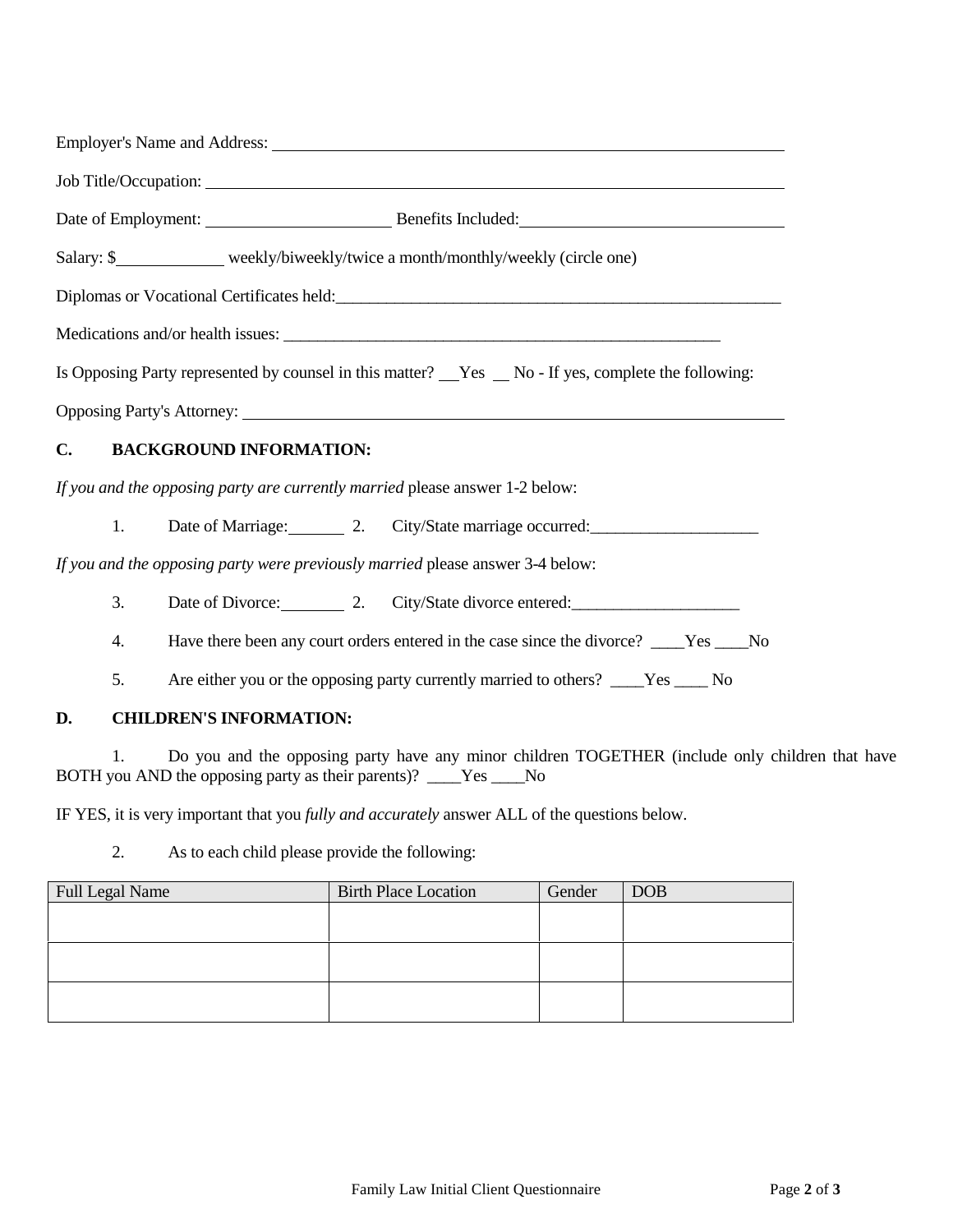| Employer's Name and Address: Universe of the Second Second Second Second Second Second Second Second Second Second Second Second Second Second Second Second Second Second Second Second Second Second Second Second Second Se |  |  |  |  |  |
|--------------------------------------------------------------------------------------------------------------------------------------------------------------------------------------------------------------------------------|--|--|--|--|--|
|                                                                                                                                                                                                                                |  |  |  |  |  |
|                                                                                                                                                                                                                                |  |  |  |  |  |
| Salary: \$_______________ weekly/biweekly/twice a month/monthly/weekly (circle one)                                                                                                                                            |  |  |  |  |  |
|                                                                                                                                                                                                                                |  |  |  |  |  |
|                                                                                                                                                                                                                                |  |  |  |  |  |
| Is Opposing Party represented by counsel in this matter? Nes Ro - If yes, complete the following:                                                                                                                              |  |  |  |  |  |
| <b>Opposing Party's Attorney:</b>                                                                                                                                                                                              |  |  |  |  |  |
| $C_{\bullet}$<br><b>BACKGROUND INFORMATION:</b>                                                                                                                                                                                |  |  |  |  |  |
| If you and the opposing party are currently married please answer 1-2 below:                                                                                                                                                   |  |  |  |  |  |
| Date of Marriage: 2. City/State marriage occurred:<br>1.                                                                                                                                                                       |  |  |  |  |  |
| If you and the opposing party were previously married please answer 3-4 below:                                                                                                                                                 |  |  |  |  |  |
| Date of Divorce: 2. City/State divorce entered: 2. City/State divorce entered:<br>3.                                                                                                                                           |  |  |  |  |  |
| Have there been any court orders entered in the case since the divorce? ___Yes ___No<br>4.                                                                                                                                     |  |  |  |  |  |
| Are either you or the opposing party currently married to others? ____Yes _____No<br>5.                                                                                                                                        |  |  |  |  |  |
| <b>CHILDREN'S INFORMATION:</b><br>D.                                                                                                                                                                                           |  |  |  |  |  |
| Do you and the opposing party have any minor children TOGETHER (include only ch<br>1.                                                                                                                                          |  |  |  |  |  |

hildren that have BOTH you AND the opposing party as their parents)? \_\_\_\_Yes \_\_\_\_No

IF YES, it is very important that you *fully and accurately* answer ALL of the questions below.

2. As to each child please provide the following:

| Full Legal Name | <b>Birth Place Location</b> | Gender | <b>DOB</b> |
|-----------------|-----------------------------|--------|------------|
|                 |                             |        |            |
|                 |                             |        |            |
|                 |                             |        |            |
|                 |                             |        |            |
|                 |                             |        |            |
|                 |                             |        |            |